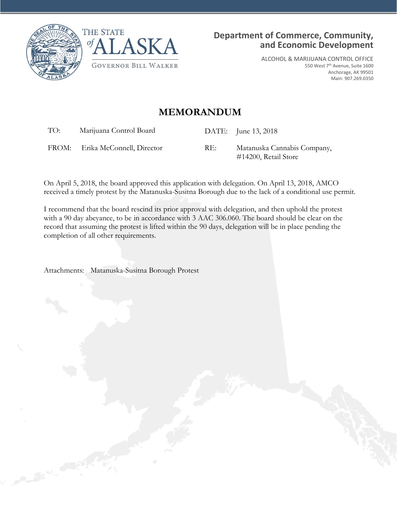



ALCOHOL & MARIJUANA CONTROL OFFICE 550 West 7th Avenue, Suite 1600 Anchorage, AK 99501 Main: 907.269.0350

## **MEMORANDUM**

TO: Marijuana Control Board DATE: June 13, 2018

FROM: Erika McConnell, Director RE: Matanuska Cannabis Company, #14200, Retail Store

On April 5, 2018, the board approved this application with delegation. On April 13, 2018, AMCO received a timely protest by the Matanuska-Susitna Borough due to the lack of a conditional use permit.

I recommend that the board rescind its prior approval with delegation, and then uphold the protest with a 90 day abeyance, to be in accordance with 3 AAC 306.060. The board should be clear on the record that assuming the protest is lifted within the 90 days, delegation will be in place pending the completion of all other requirements.

Attachments: Matanuska-Susitna Borough Protest